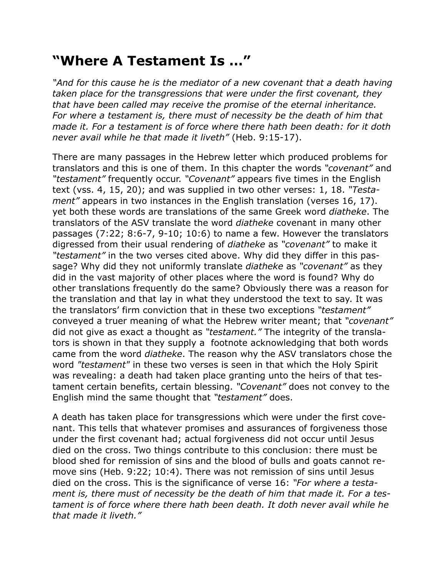## **"Where A Testament Is …"**

*"And for this cause he is the mediator of a new covenant that a death having taken place for the transgressions that were under the first covenant, they that have been called may receive the promise of the eternal inheritance. For where a testament is, there must of necessity be the death of him that made it. For a testament is of force where there hath been death: for it doth never avail while he that made it liveth"* (Heb. 9:15-17).

There are many passages in the Hebrew letter which produced problems for translators and this is one of them. In this chapter the words *"covenant"* and *"testament"* frequently occur. *"Covenant"* appears five times in the English text (vss. 4, 15, 20); and was supplied in two other verses: 1, 18. *"Testament"* appears in two instances in the English translation (verses 16, 17). yet both these words are translations of the same Greek word *diatheke*. The translators of the ASV translate the word *diatheke* covenant in many other passages (7:22; 8:6-7, 9-10; 10:6) to name a few. However the translators digressed from their usual rendering of *diatheke* as *"covenant"* to make it *"testament"* in the two verses cited above. Why did they differ in this passage? Why did they not uniformly translate *diatheke* as *"covenant"* as they did in the vast majority of other places where the word is found? Why do other translations frequently do the same? Obviously there was a reason for the translation and that lay in what they understood the text to say. It was the translators' firm conviction that in these two exceptions *"testament"* conveyed a truer meaning of what the Hebrew writer meant; that *"covenant"* did not give as exact a thought as *"testament."* The integrity of the translators is shown in that they supply a footnote acknowledging that both words came from the word *diatheke*. The reason why the ASV translators chose the word *"testament"* in these two verses is seen in that which the Holy Spirit was revealing: a death had taken place granting unto the heirs of that testament certain benefits, certain blessing. *"Covenant"* does not convey to the English mind the same thought that *"testament"* does.

A death has taken place for transgressions which were under the first covenant. This tells that whatever promises and assurances of forgiveness those under the first covenant had; actual forgiveness did not occur until Jesus died on the cross. Two things contribute to this conclusion: there must be blood shed for remission of sins and the blood of bulls and goats cannot remove sins (Heb. 9:22; 10:4). There was not remission of sins until Jesus died on the cross. This is the significance of verse 16: *"For where a testament is, there must of necessity be the death of him that made it. For a testament is of force where there hath been death. It doth never avail while he that made it liveth."*